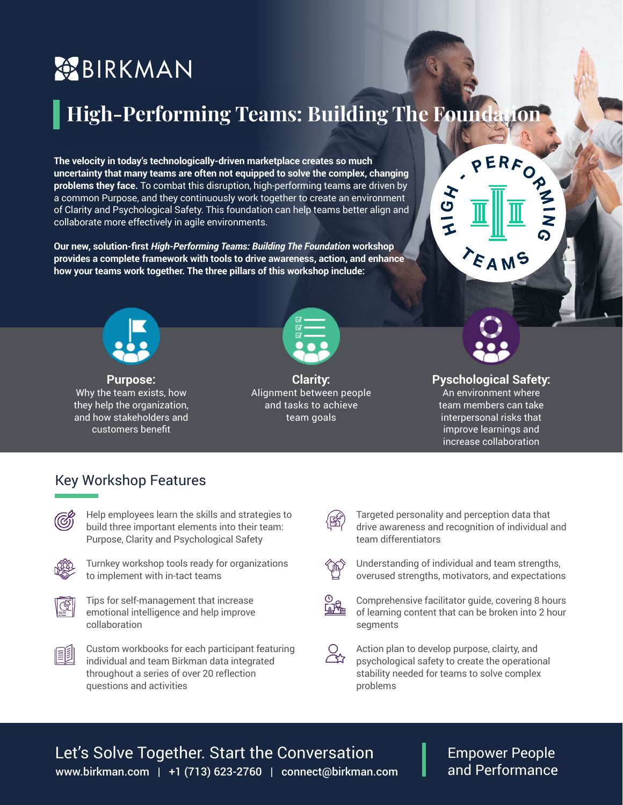# **BIRKMAN**

**The velocity in today's technologically-driven marketplace creates so much uncertainty that many teams are often not equipped to solve the complex, changing problems they face.** To combat this disruption, high-performing teams are driven by a common Purpose, and they continuously work together to create an environment of Clarity and Psychological Safety. This foundation can help teams better align and collaborate more effectively in agile environments. **High-Performing Teams: Building The Foundation**<br>exelocity in today's technologically-driven marketplace creates so much<br>exertainty that many teams are often not equipped to solve the complex, changing<br>exertainty that many

**Our new, solution-first** *High-Performing Teams: Building The Foundation* **workshop provides a complete framework with tools to drive awareness, action, and enhance how your teams work together. The three pillars of this workshop include:**



**Purpose:** Why the team exists, how they help the organization, and how stakeholders and customers benefit



**Clarity:**  Alignment between people and tasks to achieve team goals



**FAMS** 

HIGH

#### **Pyschological Safety:** An environment where team members can take interpersonal risks that improve learnings and increase collaboration

#### Key Workshop Features



Help employees learn the skills and strategies to build three important elements into their team: Purpose, Clarity and Psychological Safety



Turnkey workshop tools ready for organizations to implement with in-tact teams



Tips for self-management that increase emotional intelligence and help improve collaboration



Targeted personality and perception data that drive awareness and recognition of individual and team differentiators



Understanding of individual and team strengths, overused strengths, motivators, and expectations



Comprehensive facilitator guide, covering 8 hours of learning content that can be broken into 2 hour segments

 $\alpha$ Action plan to develop purpose, clairty, and psychological safety to create the operational stability needed for teams to solve complex problems

### www.birkman.com | +1 (713) 623-2760 | connect@birkman.com Let's Solve Together. Start the Conversation

Empower People and Performance